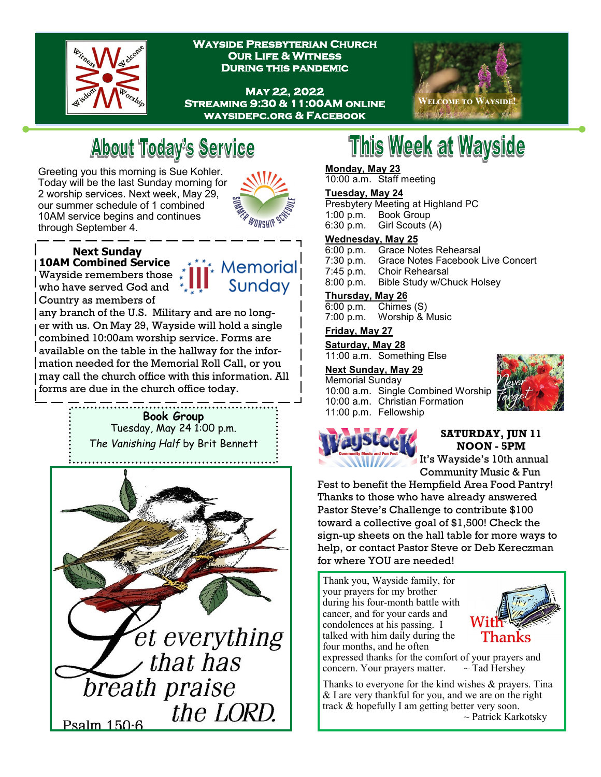

**Wayside Presbyterian Church Our Life & Witness During this pandemic** 

**May 22, 2022 Streaming 9:30 & 11:00AM online waysidepc.org & Facebook** 



## **About Today's Service**

Greeting you this morning is Sue Kohler. Today will be the last Sunday morning for 2 worship services. Next week, May 29, our summer schedule of 1 combined 10AM service begins and continues through September 4.



#### **Next Sunday 10AM Combined Service**

Wayside remembers those who have served God and Country as members of



any branch of the U.S. Military and are no longer with us. On May 29, Wayside will hold a single combined 10:00am worship service. Forms are available on the table in the hallway for the information needed for the Memorial Roll Call, or you may call the church office with this information. All forms are due in the church office today.

#### **Book Group** Tuesday, May 24 1:00 p.m. *The Vanishing Half* by Brit Bennett



# This Week at Wayside

#### **Monday, May 23**

10:00 a.m. Staff meeting

#### **Tuesday, May 24**

Presbytery Meeting at Highland PC 1:00 p.m. Book Group Girl Scouts (A)

#### **Wednesday, May 25**

6:00 p.m. Grace Notes Rehearsal

- 7:30 p.m. Grace Notes Facebook Live Concert
- 7:45 p.m. Choir Rehearsal
- 8:00 p.m. Bible Study w/Chuck Holsey

### **Thursday, May 26**

 $\overline{\text{Chimes}}$  (S) 7:00 p.m. Worship & Music

#### **Friday, May 27**

**Saturday, May 28** 11:00 a.m. Something Else

#### **Next Sunday, May 29**

Memorial Sunday 10:00 a.m. Single Combined Worship 10:00 a.m. Christian Formation 11:00 p.m. Fellowship



#### **SATURDAY, JUN 11 NOON - 5PM**

It's Wayside's 10th annual Community Music & Fun

Fest to benefit the Hempfield Area Food Pantry! Thanks to those who have already answered Pastor Steve's Challenge to contribute \$100 toward a collective goal of \$1,500! Check the sign-up sheets on the hall table for more ways to help, or contact Pastor Steve or Deb Kereczman for where YOU are needed!

Thank you, Wayside family, for your prayers for my brother during his four-month battle with cancer, and for your cards and condolences at his passing. I talked with him daily during the four months, and he often



expressed thanks for the comfort of your prayers and concern. Your prayers matter.  $\sim$  Tad Hershey

Thanks to everyone for the kind wishes & prayers. Tina & I are very thankful for you, and we are on the right track & hopefully I am getting better very soon. ~ Patrick Karkotsky